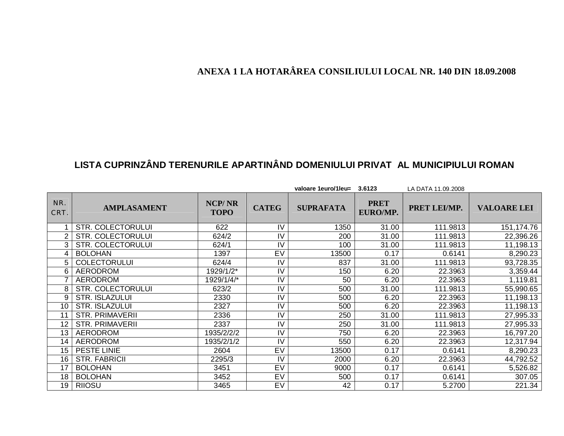## **ANEXA 1 LA HOTARÂREA CONSILIULUI LOCAL NR. 140 DIN 18.09.2008**

## **LISTA CUPRINZÂND TERENURILE APARTINÂND DOMENIULUI PRIVAT AL MUNICIPIULUI ROMAN**

|             |                          |                              |              | valoare 1euro/1leu= | 3.6123                  | LA DATA 11.09.2008 |                    |
|-------------|--------------------------|------------------------------|--------------|---------------------|-------------------------|--------------------|--------------------|
| NR.<br>CRT. | <b>AMPLASAMENT</b>       | <b>NCP/NR</b><br><b>TOPO</b> | <b>CATEG</b> | <b>SUPRAFATA</b>    | <b>PRET</b><br>EURO/MP. | PRET LEI/MP.       | <b>VALOARE LEI</b> |
|             | <b>STR. COLECTORULUI</b> | 622                          | IV           | 1350                | 31.00                   | 111.9813           | 151, 174. 76       |
| 2           | <b>STR. COLECTORULUI</b> | 624/2                        | IV           | 200                 | 31.00                   | 111.9813           | 22,396.26          |
|             | <b>STR. COLECTORULUI</b> | 624/1                        | IV           | 100                 | 31.00                   | 111.9813           | 11,198.13          |
| 4           | <b>BOLOHAN</b>           | 1397                         | EV           | 13500               | 0.17                    | 0.6141             | 8,290.23           |
| 5           | <b>COLECTORULUI</b>      | 624/4                        | IV           | 837                 | 31.00                   | 111.9813           | 93,728.35          |
| 6           | AERODROM                 | 1929/1/2*                    | IV           | 150                 | 6.20                    | 22.3963            | 3,359.44           |
|             | <b>AERODROM</b>          | 1929/1/4/*                   | IV           | 50                  | 6.20                    | 22.3963            | 1,119.81           |
| 8           | <b>STR. COLECTORULUI</b> | 623/2                        | IV           | 500                 | 31.00                   | 111.9813           | 55,990.65          |
| 9           | <b>STR. ISLAZULUI</b>    | 2330                         | IV           | 500                 | 6.20                    | 22.3963            | 11,198.13          |
| 10          | <b>STR. ISLAZULUI</b>    | 2327                         | IV           | 500                 | 6.20                    | 22.3963            | 11,198.13          |
| 11          | <b>STR. PRIMAVERII</b>   | 2336                         | IV           | 250                 | 31.00                   | 111.9813           | 27,995.33          |
| 12          | <b>STR. PRIMAVERII</b>   | 2337                         | IV           | 250                 | 31.00                   | 111.9813           | 27,995.33          |
| 13          | <b>AERODROM</b>          | 1935/2/2/2                   | IV           | 750                 | 6.20                    | 22.3963            | 16,797.20          |
| 14          | <b>AERODROM</b>          | 1935/2/1/2                   | IV           | 550                 | 6.20                    | 22.3963            | 12,317.94          |
| 15          | <b>PESTE LINIE</b>       | 2604                         | EV           | 13500               | 0.17                    | 0.6141             | 8,290.23           |
| 16          | <b>STR. FABRICII</b>     | 2295/3                       | IV           | 2000                | 6.20                    | 22.3963            | 44,792.52          |
| 17          | <b>BOLOHAN</b>           | 3451                         | EV           | 9000                | 0.17                    | 0.6141             | 5,526.82           |
| 18          | <b>BOLOHAN</b>           | 3452                         | EV           | 500                 | 0.17                    | 0.6141             | 307.05             |
| 19          | <b>RIIOSU</b>            | 3465                         | EV           | 42                  | 0.17                    | 5.2700             | 221.34             |